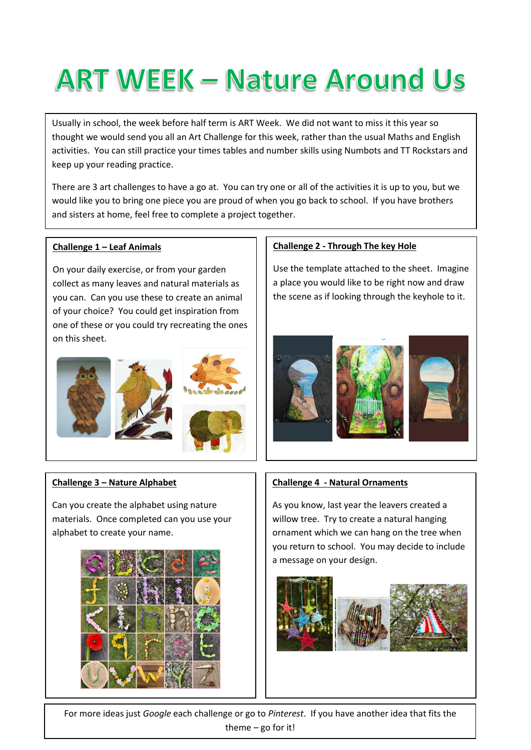# **ART WEEK - Nature Around Us**

Usually in school, the week before half term is ART Week. We did not want to miss it this year so thought we would send you all an Art Challenge for this week, rather than the usual Maths and English activities. You can still practice your times tables and number skills using Numbots and TT Rockstars and keep up your reading practice.

There are 3 art challenges to have a go at. You can try one or all of the activities it is up to you, but we would like you to bring one piece you are proud of when you go back to school. If you have brothers and sisters at home, feel free to complete a project together.

# **Challenge 1 – Leaf Animals**

On your daily exercise, or from your garden collect as many leaves and natural materials as you can. Can you use these to create an animal of your choice? You could get inspiration from one of these or you could try recreating the ones on this sheet.



### **Challenge 2 - Through The key Hole**

Use the template attached to the sheet. Imagine a place you would like to be right now and draw the scene as if looking through the keyhole to it.



# **Challenge 3 – Nature Alphabet**

Can you create the alphabet using nature materials. Once completed can you use your alphabet to create your name.



# **Challenge 4 - Natural Ornaments**

As you know, last year the leavers created a willow tree. Try to create a natural hanging ornament which we can hang on the tree when you return to school. You may decide to include a message on your design.



For more ideas just *Google* each challenge or go to *Pinterest*. If you have another idea that fits the theme – go for it!

 $\overline{a}$